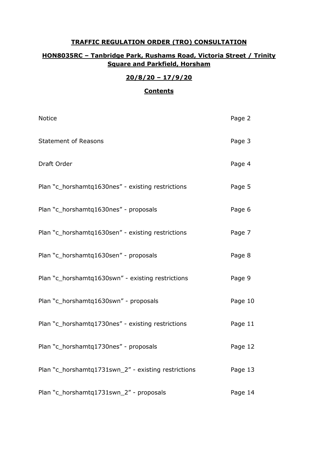## **TRAFFIC REGULATION ORDER (TRO) CONSULTATION**

# **HON8035RC – Tanbridge Park, Rushams Road, Victoria Street / Trinity Square and Parkfield, Horsham**

### **20/8/20 – 17/9/20**

## **Contents**

| <b>Notice</b>                                       | Page 2  |
|-----------------------------------------------------|---------|
| <b>Statement of Reasons</b>                         | Page 3  |
| Draft Order                                         | Page 4  |
| Plan "c_horshamtq1630nes" - existing restrictions   | Page 5  |
| Plan "c_horshamtq1630nes" - proposals               | Page 6  |
| Plan "c_horshamtq1630sen" - existing restrictions   | Page 7  |
| Plan "c_horshamtq1630sen" - proposals               | Page 8  |
| Plan "c_horshamtq1630swn" - existing restrictions   | Page 9  |
| Plan "c_horshamtq1630swn" - proposals               | Page 10 |
| Plan "c_horshamtq1730nes" - existing restrictions   | Page 11 |
| Plan "c_horshamtq1730nes" - proposals               | Page 12 |
| Plan "c_horshamtq1731swn_2" - existing restrictions | Page 13 |
| Plan "c_horshamtq1731swn_2" - proposals             | Page 14 |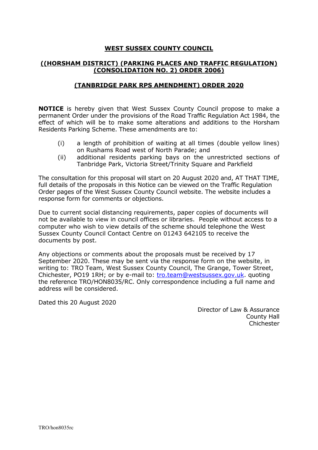### **WEST SUSSEX COUNTY COUNCIL**

### **((HORSHAM DISTRICT) (PARKING PLACES AND TRAFFIC REGULATION) (CONSOLIDATION NO. 2) ORDER 2006)**

#### **(TANBRIDGE PARK RPS AMENDMENT) ORDER 2020**

**NOTICE** is hereby given that West Sussex County Council propose to make a permanent Order under the provisions of the Road Traffic Regulation Act 1984, the effect of which will be to make some alterations and additions to the Horsham Residents Parking Scheme. These amendments are to:

- (i) a length of prohibition of waiting at all times (double yellow lines) on Rushams Road west of North Parade; and
- (ii) additional residents parking bays on the unrestricted sections of Tanbridge Park, Victoria Street/Trinity Square and Parkfield

The consultation for this proposal will start on 20 August 2020 and, AT THAT TIME, full details of the proposals in this Notice can be viewed on the Traffic Regulation Order pages of the West Sussex County Council website. The website includes a response form for comments or objections.

Due to current social distancing requirements, paper copies of documents will not be available to view in council offices or libraries. People without access to a computer who wish to view details of the scheme should telephone the West Sussex County Council Contact Centre on 01243 642105 to receive the documents by post.

Any objections or comments about the proposals must be received by 17 September 2020. These may be sent via the response form on the website, in writing to: TRO Team, West Sussex County Council, The Grange, Tower Street, Chichester, PO19 1RH; or by e-mail to: [tro.team@westsussex.gov.uk.](mailto:tro.team@westsussex.gov.uk) quoting the reference TRO/HON8035/RC. Only correspondence including a full name and address will be considered.

Dated this 20 August 2020

Director of Law & Assurance County Hall Chichester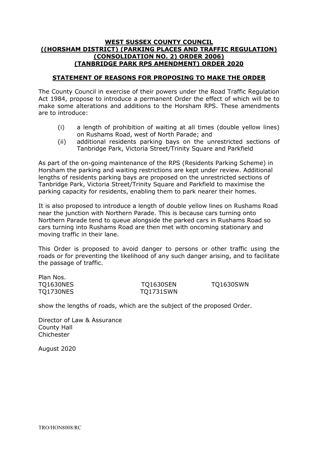#### **WEST SUSSEX COUNTY COUNCIL ((HORSHAM DISTRICT) (PARKING PLACES AND TRAFFIC REGULATION) (CONSOLIDATION NO. 2) ORDER 2006) (TANBRIDGE PARK RPS AMENDMENT) ORDER 2020**

### **STATEMENT OF REASONS FOR PROPOSING TO MAKE THE ORDER**

The County Council in exercise of their powers under the Road Traffic Regulation Act 1984, propose to introduce a permanent Order the effect of which will be to make some alterations and additions to the Horsham RPS. These amendments are to introduce:

- (i) a length of prohibition of waiting at all times (double yellow lines) on Rushams Road, west of North Parade; and
- (ii) additional residents parking bays on the unrestricted sections of Tanbridge Park, Victoria Street/Trinity Square and Parkfield

As part of the on-going maintenance of the RPS (Residents Parking Scheme) in Horsham the parking and waiting restrictions are kept under review. Additional lengths of residents parking bays are proposed on the unrestricted sections of Tanbridge Park, Victoria Street/Trinity Square and Parkfield to maximise the parking capacity for residents, enabling them to park nearer their homes.

It is also proposed to introduce a length of double yellow lines on Rushams Road near the junction with Northern Parade. This is because cars turning onto Northern Parade tend to queue alongside the parked cars in Rushams Road so cars turning into Rushams Road are then met with oncoming stationary and moving traffic in their lane.

This Order is proposed to avoid danger to persons or other traffic using the roads or for preventing the likelihood of any such danger arising, and to facilitate the passage of traffic.

| Plan Nos. |                  |                  |
|-----------|------------------|------------------|
| TQ1630NES | <b>TO1630SEN</b> | <b>TO1630SWN</b> |
| TQ1730NES | <b>TQ1731SWN</b> |                  |

show the lengths of roads, which are the subject of the proposed Order.

Director of Law & Assurance County Hall Chichester

August 2020

Plan Nos.